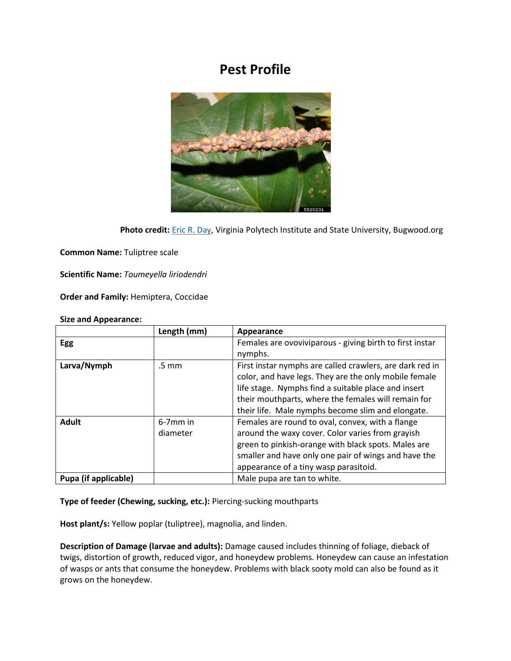## **Pest Profile**



Photo credit: **[Eric R. Day,](https://www.insectimages.org/browse/taxthumb.cfm?order=92) Virginia Polytech Institute and State University, Bugwood.org** 

**Common Name:** Tuliptree scale

**Scientific Name:** *Toumeyella liriodendri*

**Order and Family:** Hemiptera, Coccidae

## **Size and Appearance:**

|                      | Length (mm) | Appearance                                               |
|----------------------|-------------|----------------------------------------------------------|
| Egg                  |             | Females are ovoviviparous - giving birth to first instar |
|                      |             | nymphs.                                                  |
| Larva/Nymph          | .5 mm       | First instar nymphs are called crawlers, are dark red in |
|                      |             | color, and have legs. They are the only mobile female    |
|                      |             | life stage. Nymphs find a suitable place and insert      |
|                      |             | their mouthparts, where the females will remain for      |
|                      |             | their life. Male nymphs become slim and elongate.        |
| <b>Adult</b>         | $6-7$ mm in | Females are round to oval, convex, with a flange         |
|                      | diameter    | around the waxy cover. Color varies from grayish         |
|                      |             | green to pinkish-orange with black spots. Males are      |
|                      |             | smaller and have only one pair of wings and have the     |
|                      |             | appearance of a tiny wasp parasitoid.                    |
| Pupa (if applicable) |             | Male pupa are tan to white.                              |

**Type of feeder (Chewing, sucking, etc.):** Piercing-sucking mouthparts

**Host plant/s:** Yellow poplar (tuliptree), magnolia, and linden.

**Description of Damage (larvae and adults):** Damage caused includes thinning of foliage, dieback of twigs, distortion of growth, reduced vigor, and honeydew problems. Honeydew can cause an infestation of wasps or ants that consume the honeydew. Problems with black sooty mold can also be found as it grows on the honeydew.